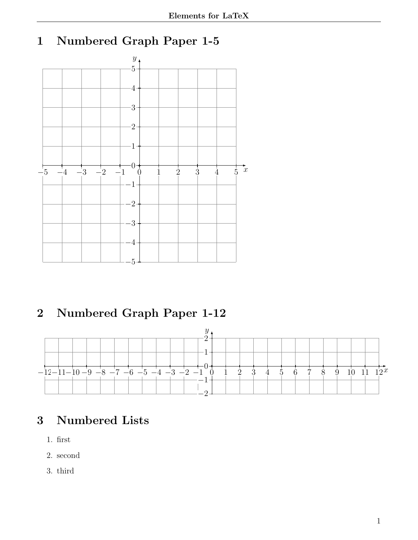## 1 Numbered Graph Paper 1-5



# 2 Numbered Graph Paper 1-12



## 3 Numbered Lists

- 1. first
- 2. second
- 3. third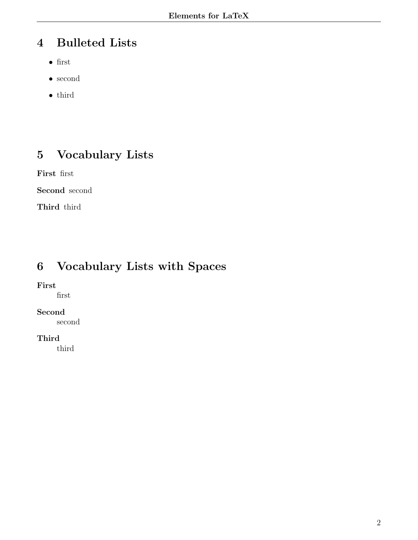## 4 Bulleted Lists

- first
- second
- third

# 5 Vocabulary Lists

First first

Second second

Third third

# 6 Vocabulary Lists with Spaces

#### First

first

#### Second

second

#### Third

third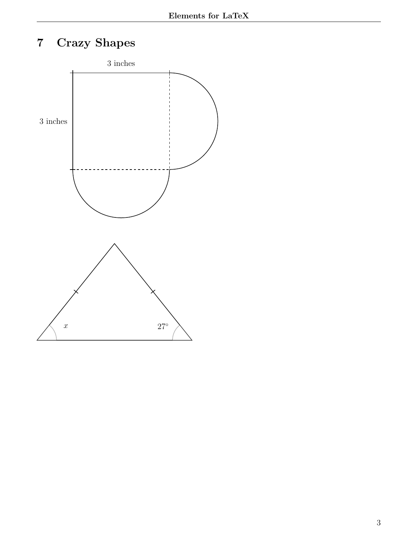# 7 Crazy Shapes

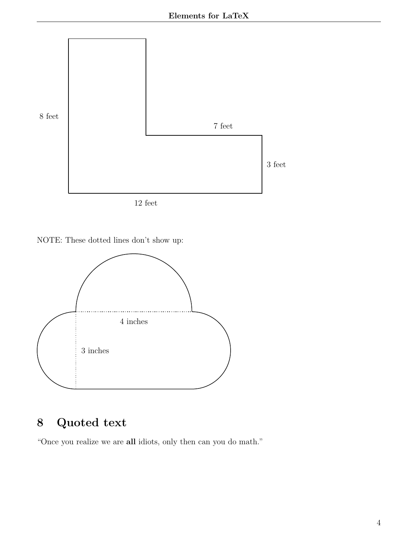

12 feet





# 8 Quoted text

"Once you realize we are all idiots, only then can you do math."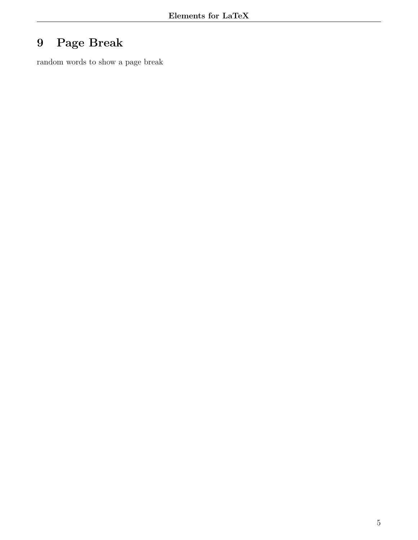# 9 Page Break

random words to show a page break